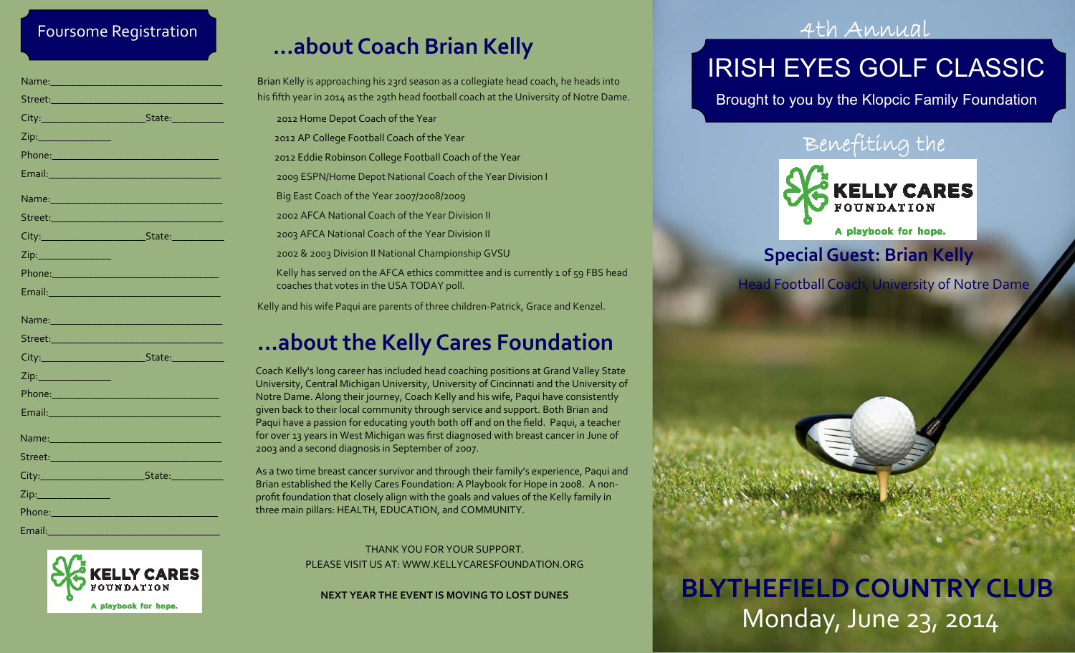### Foursome Registration

|                                                                                                                                                                                                                                      | Name: 1980 - 1980 - 1980 - 1980 - 1980 - 1980 - 1980 - 1980 - 1980 - 1980 - 1980 - 1980 - 1980 - 1980 - 1980 - |
|--------------------------------------------------------------------------------------------------------------------------------------------------------------------------------------------------------------------------------------|----------------------------------------------------------------------------------------------------------------|
|                                                                                                                                                                                                                                      |                                                                                                                |
|                                                                                                                                                                                                                                      |                                                                                                                |
|                                                                                                                                                                                                                                      |                                                                                                                |
|                                                                                                                                                                                                                                      |                                                                                                                |
|                                                                                                                                                                                                                                      | Email: 2008 - 2008 - 2009 - 2010 - 2010 - 2010 - 2011 - 2012 - 2012 - 2012 - 2012 - 2012 - 2012 - 2013 - 2014  |
|                                                                                                                                                                                                                                      |                                                                                                                |
|                                                                                                                                                                                                                                      |                                                                                                                |
|                                                                                                                                                                                                                                      |                                                                                                                |
|                                                                                                                                                                                                                                      |                                                                                                                |
|                                                                                                                                                                                                                                      | Phone: 2008 2010 2021 2022 2022 2023 2024 2022 2022 2023 2024 2022 2023 2024 2022 2023 2024 2022 2023          |
| Email: <b>Alian and Alian and Alian and Alian and Alian and Alian and Alian and Alian and Alian and Alian and Alian and Alian and Alian and Alian and Alian and Alian and Alian and Alian and Alian and Alian and Alian and Alia</b> |                                                                                                                |
|                                                                                                                                                                                                                                      |                                                                                                                |
|                                                                                                                                                                                                                                      |                                                                                                                |
|                                                                                                                                                                                                                                      |                                                                                                                |
|                                                                                                                                                                                                                                      |                                                                                                                |
| Zip:________________                                                                                                                                                                                                                 |                                                                                                                |
|                                                                                                                                                                                                                                      |                                                                                                                |
|                                                                                                                                                                                                                                      |                                                                                                                |
|                                                                                                                                                                                                                                      | Name: 2008 - 2008 - 2010 - 2010 - 2010 - 2010 - 2010 - 2010 - 2010 - 2010 - 2010 - 2010 - 2010 - 2010 - 2010 - |
|                                                                                                                                                                                                                                      |                                                                                                                |
|                                                                                                                                                                                                                                      | Street: 2008 - 2008 - 2019 - 2019 - 2019 - 2019 - 2019 - 2019 - 2019 - 2019 - 2019 - 2019 - 2019 - 2019 - 201  |
|                                                                                                                                                                                                                                      |                                                                                                                |
|                                                                                                                                                                                                                                      |                                                                                                                |
| Phone: ________________________                                                                                                                                                                                                      |                                                                                                                |



Email:\_\_\_\_\_\_\_\_\_\_\_\_\_\_\_\_\_\_\_\_\_\_\_\_\_\_\_\_\_\_\_\_\_

# **...about Coach Brian Kelly**

Brian Kelly is approaching his 23rd season as <sup>a</sup> collegiate head coach, he heads into his fifth year in 2014 as the 29th head football coach at the University of Notre Dame.

**...about the Kelly Cares Foundation** 2012 Home Depot Coach of the Year 2012 AP College Football Coach of the Year 2012 Eddie Robinson College Football Coach of the Year 2009 ESPN/Home Depot National Coach of the Year Division <sup>I</sup> Big East Coach of the Year 2007/2008/2009 2002 AFCA National Coach of the Year Division II 2003 AFCA National Coach of the Year Division II 2002 & 2003 Division II National Championship GVSU Kelly has served on the AFCA ethics committee and is currently <sup>1</sup> of 59 FBS head coaches that votes in the USA TODAY poll. Kelly and his wife Paqui are parents of three children‐Patrick, Grace and Kenzel.

Coach Kelly's long career has included head coaching positions at Grand Valley State University, Central Michigan University, University of Cincinnati and the University of Notre Dame. Along their journey, Coach Kelly and his wife, Paqui have consistently given back to their local community through service and support. Both Brian and Paqui have <sup>a</sup> passion for educating youth both <sup>o</sup>ff and on the field. Paqui, <sup>a</sup> teacher for over 13 years in West Michigan was first diagnosed with breast cancer in June of 2003 and <sup>a</sup> second diagnosis in September of 2007.

As a two time breast cancer survivor and through their family's experience, Paqui and Brian established the Kelly Cares Foundation: <sup>A</sup> Playbook for Hope in 2008. <sup>A</sup> non‐ profit foundation that closely align with the goals and values of the Kelly family in three main pillars: HEALTH, EDUCATION, and COMMUNITY.

> THANK YOU FOR YOUR SUPPORT. PLEASE VISIT US AT: WWW.KELLYCARESFOUNDATION.ORG

**NEXT YEAR THE EVENT IS MOVING TO LOST DUNES**

### 4th Annual

# IRISH EYES GOLF CLASSIC

Brought to you by the Klopcic Family Foundation

### Benefiting the



A playbook for hope.

### **SpecialGuest: Brian Kelly**

**BLYTHEFIELDCOUNTRY CLUB**

Monday, June 23, 2014

Head Football Coach, University of Notre Dame